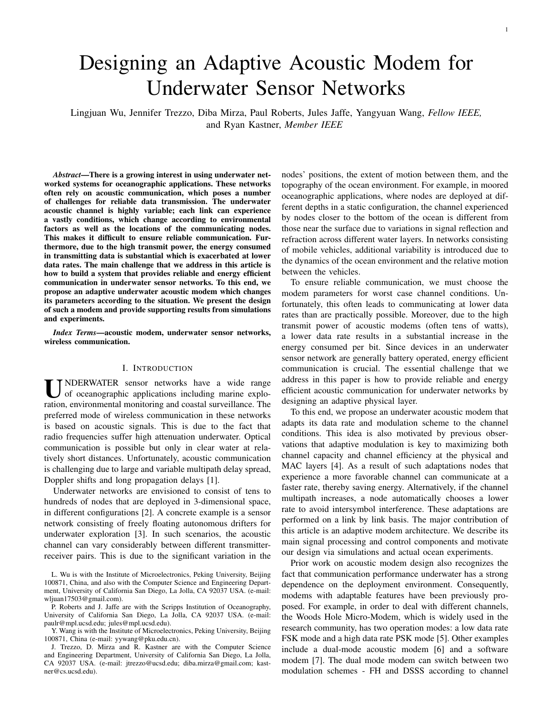# Designing an Adaptive Acoustic Modem for Underwater Sensor Networks

Lingjuan Wu, Jennifer Trezzo, Diba Mirza, Paul Roberts, Jules Jaffe, Yangyuan Wang, *Fellow IEEE,* and Ryan Kastner, *Member IEEE*

*Abstract*—There is a growing interest in using underwater networked systems for oceanographic applications. These networks often rely on acoustic communication, which poses a number of challenges for reliable data transmission. The underwater acoustic channel is highly variable; each link can experience a vastly conditions, which change according to environmental factors as well as the locations of the communicating nodes. This makes it difficult to ensure reliable communication. Furthermore, due to the high transmit power, the energy consumed in transmitting data is substantial which is exacerbated at lower data rates. The main challenge that we address in this article is how to build a system that provides reliable and energy efficient communication in underwater sensor networks. To this end, we propose an adaptive underwater acoustic modem which changes its parameters according to the situation. We present the design of such a modem and provide supporting results from simulations and experiments.

*Index Terms*—acoustic modem, underwater sensor networks, wireless communication.

## I. INTRODUCTION

UNDERWATER sensor networks have a wide range<br>of oceanographic applications including marine explo-<br>exists a overtical monitoring and senseted surveillance. The of oceanographic applications including marine exploration, environmental monitoring and coastal surveillance. The preferred mode of wireless communication in these networks is based on acoustic signals. This is due to the fact that radio frequencies suffer high attenuation underwater. Optical communication is possible but only in clear water at relatively short distances. Unfortunately, acoustic communication is challenging due to large and variable multipath delay spread, Doppler shifts and long propagation delays [1].

Underwater networks are envisioned to consist of tens to hundreds of nodes that are deployed in 3-dimensional space, in different configurations [2]. A concrete example is a sensor network consisting of freely floating autonomous drifters for underwater exploration [3]. In such scenarios, the acoustic channel can vary considerably between different transmitterreceiver pairs. This is due to the significant variation in the nodes' positions, the extent of motion between them, and the topography of the ocean environment. For example, in moored oceanographic applications, where nodes are deployed at different depths in a static configuration, the channel experienced by nodes closer to the bottom of the ocean is different from those near the surface due to variations in signal reflection and refraction across different water layers. In networks consisting of mobile vehicles, additional variability is introduced due to the dynamics of the ocean environment and the relative motion between the vehicles.

To ensure reliable communication, we must choose the modem parameters for worst case channel conditions. Unfortunately, this often leads to communicating at lower data rates than are practically possible. Moreover, due to the high transmit power of acoustic modems (often tens of watts), a lower data rate results in a substantial increase in the energy consumed per bit. Since devices in an underwater sensor network are generally battery operated, energy efficient communication is crucial. The essential challenge that we address in this paper is how to provide reliable and energy efficient acoustic communication for underwater networks by designing an adaptive physical layer.

To this end, we propose an underwater acoustic modem that adapts its data rate and modulation scheme to the channel conditions. This idea is also motivated by previous observations that adaptive modulation is key to maximizing both channel capacity and channel efficiency at the physical and MAC layers [4]. As a result of such adaptations nodes that experience a more favorable channel can communicate at a faster rate, thereby saving energy. Alternatively, if the channel multipath increases, a node automatically chooses a lower rate to avoid intersymbol interference. These adaptations are performed on a link by link basis. The major contribution of this article is an adaptive modem architecture. We describe its main signal processing and control components and motivate our design via simulations and actual ocean experiments.

Prior work on acoustic modem design also recognizes the fact that communication performance underwater has a strong dependence on the deployment environment. Consequently, modems with adaptable features have been previously proposed. For example, in order to deal with different channels, the Woods Hole Micro-Modem, which is widely used in the research community, has two operation modes: a low data rate FSK mode and a high data rate PSK mode [5]. Other examples include a dual-mode acoustic modem [6] and a software modem [7]. The dual mode modem can switch between two modulation schemes - FH and DSSS according to channel

L. Wu is with the Institute of Microelectronics, Peking University, Beijing 100871, China, and also with the Computer Science and Engineering Department, University of California San Diego, La Jolla, CA 92037 USA. (e-mail: wljuan17503@gmail.com).

P. Roberts and J. Jaffe are with the Scripps Institution of Oceanography, University of California San Diego, La Jolla, CA 92037 USA. (e-mail: paulr@mpl.ucsd.edu; jules@mpl.ucsd.edu).

Y. Wang is with the Institute of Microelectronics, Peking University, Beijing 100871, China (e-mail: yywang@pku.edu.cn).

J. Trezzo, D. Mirza and R. Kastner are with the Computer Science and Engineering Department, University of California San Diego, La Jolla, CA 92037 USA. (e-mail: jtrezzo@ucsd.edu; diba.mirza@gmail.com; kastner@cs.ucsd.edu).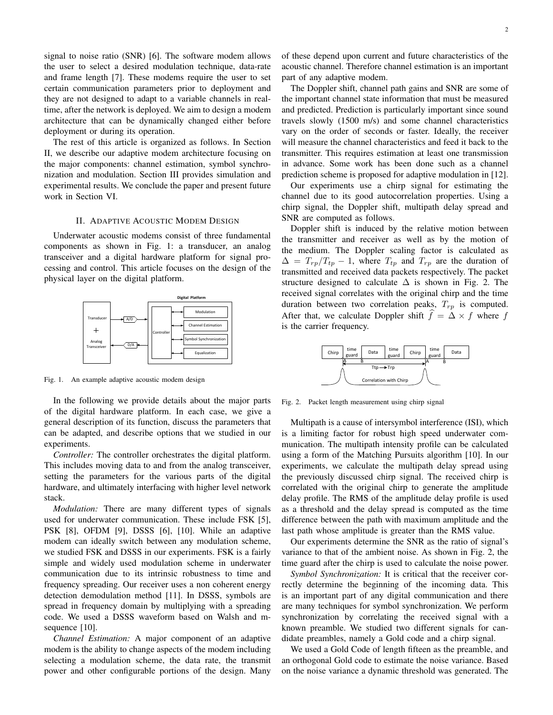signal to noise ratio (SNR) [6]. The software modem allows the user to select a desired modulation technique, data-rate and frame length [7]. These modems require the user to set certain communication parameters prior to deployment and they are not designed to adapt to a variable channels in realtime, after the network is deployed. We aim to design a modem architecture that can be dynamically changed either before deployment or during its operation.

The rest of this article is organized as follows. In Section II, we describe our adaptive modem architecture focusing on the major components: channel estimation, symbol synchronization and modulation. Section III provides simulation and experimental results. We conclude the paper and present future work in Section VI.

#### II. ADAPTIVE ACOUSTIC MODEM DESIGN

Underwater acoustic modems consist of three fundamental components as shown in Fig. 1: a transducer, an analog transceiver and a digital hardware platform for signal processing and control. This article focuses on the design of the physical layer on the digital platform.



Fig. 1. An example adaptive acoustic modem design

In the following we provide details about the major parts of the digital hardware platform. In each case, we give a general description of its function, discuss the parameters that can be adapted, and describe options that we studied in our experiments.

*Controller:* The controller orchestrates the digital platform. This includes moving data to and from the analog transceiver, setting the parameters for the various parts of the digital hardware, and ultimately interfacing with higher level network stack.

*Modulation:* There are many different types of signals used for underwater communication. These include FSK [5], PSK [8], OFDM [9], DSSS [6], [10]. While an adaptive modem can ideally switch between any modulation scheme, we studied FSK and DSSS in our experiments. FSK is a fairly simple and widely used modulation scheme in underwater communication due to its intrinsic robustness to time and frequency spreading. Our receiver uses a non coherent energy detection demodulation method [11]. In DSSS, symbols are spread in frequency domain by multiplying with a spreading code. We used a DSSS waveform based on Walsh and msequence [10].

*Channel Estimation:* A major component of an adaptive modem is the ability to change aspects of the modem including selecting a modulation scheme, the data rate, the transmit power and other configurable portions of the design. Many of these depend upon current and future characteristics of the acoustic channel. Therefore channel estimation is an important part of any adaptive modem.

The Doppler shift, channel path gains and SNR are some of the important channel state information that must be measured and predicted. Prediction is particularly important since sound travels slowly (1500 m/s) and some channel characteristics vary on the order of seconds or faster. Ideally, the receiver will measure the channel characteristics and feed it back to the transmitter. This requires estimation at least one transmission in advance. Some work has been done such as a channel prediction scheme is proposed for adaptive modulation in [12].

Our experiments use a chirp signal for estimating the channel due to its good autocorrelation properties. Using a chirp signal, the Doppler shift, multipath delay spread and SNR are computed as follows.

Doppler shift is induced by the relative motion between the transmitter and receiver as well as by the motion of the medium. The Doppler scaling factor is calculated as  $\Delta = T_{rp}/T_{tp} - 1$ , where  $T_{tp}$  and  $T_{rp}$  are the duration of transmitted and received data packets respectively. The packet structure designed to calculate  $\Delta$  is shown in Fig. 2. The received signal correlates with the original chirp and the time duration between two correlation peaks,  $T_{rp}$  is computed. After that, we calculate Doppler shift  $f = \Delta \times f$  where f is the carrier frequency.



Fig. 2. Packet length measurement using chirp signal

Multipath is a cause of intersymbol interference (ISI), which is a limiting factor for robust high speed underwater communication. The multipath intensity profile can be calculated using a form of the Matching Pursuits algorithm [10]. In our experiments, we calculate the multipath delay spread using the previously discussed chirp signal. The received chirp is correlated with the original chirp to generate the amplitude delay profile. The RMS of the amplitude delay profile is used as a threshold and the delay spread is computed as the time difference between the path with maximum amplitude and the last path whose amplitude is greater than the RMS value.

Our experiments determine the SNR as the ratio of signal's variance to that of the ambient noise. As shown in Fig. 2, the time guard after the chirp is used to calculate the noise power.

*Symbol Synchronization:* It is critical that the receiver correctly determine the beginning of the incoming data. This is an important part of any digital communication and there are many techniques for symbol synchronization. We perform synchronization by correlating the received signal with a known preamble. We studied two different signals for candidate preambles, namely a Gold code and a chirp signal.

We used a Gold Code of length fifteen as the preamble, and an orthogonal Gold code to estimate the noise variance. Based on the noise variance a dynamic threshold was generated. The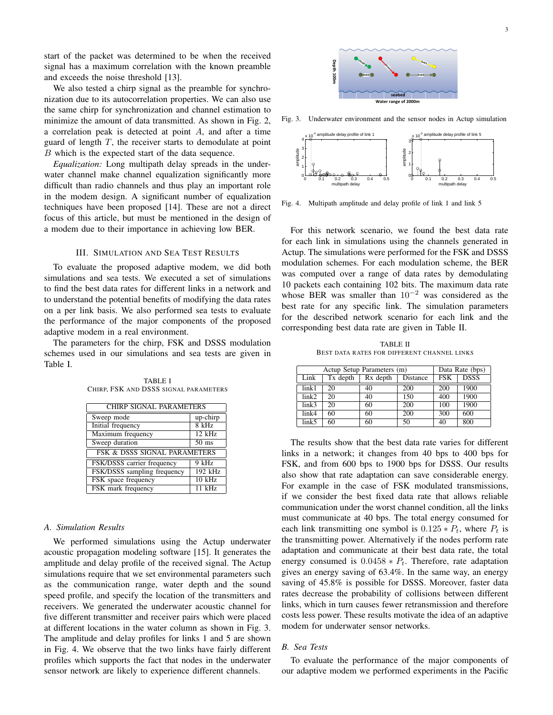start of the packet was determined to be when the received signal has a maximum correlation with the known preamble and exceeds the noise threshold [13].

We also tested a chirp signal as the preamble for synchronization due to its autocorrelation properties. We can also use the same chirp for synchronization and channel estimation to minimize the amount of data transmitted. As shown in Fig. 2, a correlation peak is detected at point A, and after a time guard of length  $T$ , the receiver starts to demodulate at point B which is the expected start of the data sequence.

*Equalization:* Long multipath delay spreads in the underwater channel make channel equalization significantly more difficult than radio channels and thus play an important role in the modem design. A significant number of equalization techniques have been proposed [14]. These are not a direct focus of this article, but must be mentioned in the design of a modem due to their importance in achieving low BER.

#### III. SIMULATION AND SEA TEST RESULTS

To evaluate the proposed adaptive modem, we did both simulations and sea tests. We executed a set of simulations to find the best data rates for different links in a network and to understand the potential benefits of modifying the data rates on a per link basis. We also performed sea tests to evaluate the performance of the major components of the proposed adaptive modem in a real environment.

The parameters for the chirp, FSK and DSSS modulation schemes used in our simulations and sea tests are given in Table I.

TABLE I CHIRP, FSK AND DSSS SIGNAL PARAMETERS

| <b>CHIRP SIGNAL PARAMETERS</b>          |                 |  |  |  |
|-----------------------------------------|-----------------|--|--|--|
| Sweep mode                              | up-chirp        |  |  |  |
| Initial frequency                       | $8$ kHz         |  |  |  |
| Maximum frequency                       | $12$ kHz        |  |  |  |
| Sweep duration                          | $50 \text{ ms}$ |  |  |  |
| <b>FSK &amp; DSSS SIGNAL PARAMETERS</b> |                 |  |  |  |
| FSK/DSSS carrier frequency              | 9 kHz           |  |  |  |
| FSK/DSSS sampling frequency             | 192 kHz         |  |  |  |
| FSK space frequency                     | 10 kHz          |  |  |  |
| FSK mark frequency                      | $11$ kHz        |  |  |  |

#### *A. Simulation Results*

We performed simulations using the Actup underwater acoustic propagation modeling software [15]. It generates the amplitude and delay profile of the received signal. The Actup simulations require that we set environmental parameters such as the communication range, water depth and the sound speed profile, and specify the location of the transmitters and receivers. We generated the underwater acoustic channel for five different transmitter and receiver pairs which were placed at different locations in the water column as shown in Fig. 3. The amplitude and delay profiles for links 1 and 5 are shown in Fig. 4. We observe that the two links have fairly different profiles which supports the fact that nodes in the underwater sensor network are likely to experience different channels.



Fig. 3. Underwater environment and the sensor nodes in Actup simulation



Fig. 4. Multipath amplitude and delay profile of link 1 and link 5

For this network scenario, we found the best data rate for each link in simulations using the channels generated in Actup. The simulations were performed for the FSK and DSSS modulation schemes. For each modulation scheme, the BER was computed over a range of data rates by demodulating 10 packets each containing 102 bits. The maximum data rate whose BER was smaller than  $10^{-2}$  was considered as the best rate for any specific link. The simulation parameters for the described network scenario for each link and the corresponding best data rate are given in Table II.

TABLE II BEST DATA RATES FOR DIFFERENT CHANNEL LINKS

| Actup Setup Parameters (m) |          |          |          |            | Data Rate (bps) |  |
|----------------------------|----------|----------|----------|------------|-----------------|--|
|                            |          |          |          |            |                 |  |
| Link                       | Tx depth | Rx depth | Distance | <b>FSK</b> | <b>DSSS</b>     |  |
| link1                      | 20       | 40       | 200      | 200        | 1900            |  |
| link2                      | 20       | 40       | 150      | 400        | 1900            |  |
| link3                      | 20       | 60       | 200      | 100        | 1900            |  |
| link4                      | 60       | 60       | 200      | 300        | 600             |  |
| link5                      | 60       | 60       | 50       | 40         | 800             |  |

The results show that the best data rate varies for different links in a network; it changes from 40 bps to 400 bps for FSK, and from 600 bps to 1900 bps for DSSS. Our results also show that rate adaptation can save considerable energy. For example in the case of FSK modulated transmissions, if we consider the best fixed data rate that allows reliable communication under the worst channel condition, all the links must communicate at 40 bps. The total energy consumed for each link transmitting one symbol is  $0.125 * P_t$ , where  $P_t$  is the transmitting power. Alternatively if the nodes perform rate adaptation and communicate at their best data rate, the total energy consumed is  $0.0458 * P_t$ . Therefore, rate adaptation gives an energy saving of 63.4%. In the same way, an energy saving of 45.8% is possible for DSSS. Moreover, faster data rates decrease the probability of collisions between different links, which in turn causes fewer retransmission and therefore costs less power. These results motivate the idea of an adaptive modem for underwater sensor networks.

### *B. Sea Tests*

To evaluate the performance of the major components of our adaptive modem we performed experiments in the Pacific